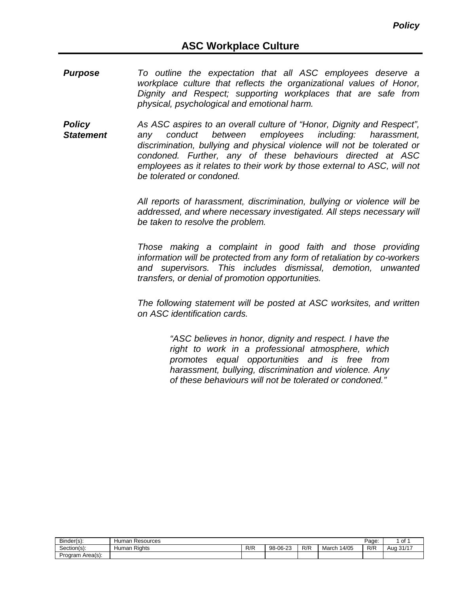- *Purpose To outline the expectation that all ASC employees deserve a workplace culture that reflects the organizational values of Honor, Dignity and Respect; supporting workplaces that are safe from physical, psychological and emotional harm.*
- *Policy Statement As ASC aspires to an overall culture of "Honor, Dignity and Respect", any conduct between employees including: harassment, discrimination, bullying and physical violence will not be tolerated or condoned. Further, any of these behaviours directed at ASC employees as it relates to their work by those external to ASC, will not be tolerated or condoned.*

*All reports of harassment, discrimination, bullying or violence will be addressed, and where necessary investigated. All steps necessary will be taken to resolve the problem.*

*Those making a complaint in good faith and those providing information will be protected from any form of retaliation by co-workers and supervisors. This includes dismissal, demotion, unwanted transfers, or denial of promotion opportunities.*

*The following statement will be posted at ASC worksites, and written on ASC identification cards.*

> *"ASC believes in honor, dignity and respect. I have the right to work in a professional atmosphere, which promotes equal opportunities and is free from harassment, bullying, discrimination and violence. Any of these behaviours will not be tolerated or condoned."*

| Binder(s):          | Human<br>Resources        |     |                     |     |                | Page: | $\sim$<br>וט                        |
|---------------------|---------------------------|-----|---------------------|-----|----------------|-------|-------------------------------------|
| ∽<br>Section(s):    | $\sim$<br>Rights<br>Human | R/R | `-06-2ა<br>$98 - 1$ | R/R | 14/05<br>March | R/R   | $0.414-$<br>Aua<br>$\mathcal{O}$ II |
| Area(s):<br>Program |                           |     |                     |     |                |       |                                     |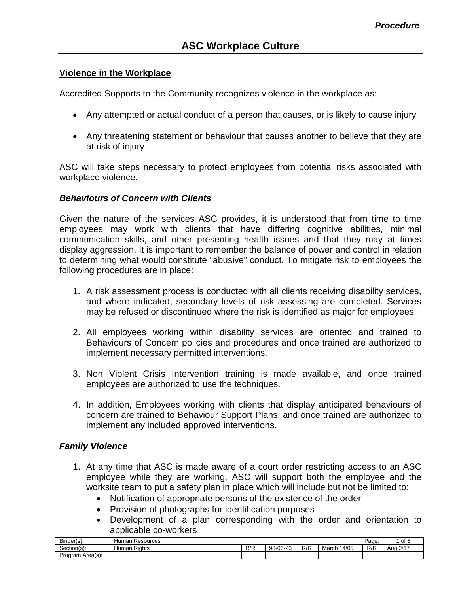#### **Violence in the Workplace**

Accredited Supports to the Community recognizes violence in the workplace as:

- Any attempted or actual conduct of a person that causes, or is likely to cause injury
- Any threatening statement or behaviour that causes another to believe that they are at risk of injury

ASC will take steps necessary to protect employees from potential risks associated with workplace violence.

#### *Behaviours of Concern with Clients*

Given the nature of the services ASC provides, it is understood that from time to time employees may work with clients that have differing cognitive abilities, minimal communication skills, and other presenting health issues and that they may at times display aggression. It is important to remember the balance of power and control in relation to determining what would constitute "abusive" conduct. To mitigate risk to employees the following procedures are in place:

- 1. A risk assessment process is conducted with all clients receiving disability services, and where indicated, secondary levels of risk assessing are completed. Services may be refused or discontinued where the risk is identified as major for employees.
- 2. All employees working within disability services are oriented and trained to Behaviours of Concern policies and procedures and once trained are authorized to implement necessary permitted interventions.
- 3. Non Violent Crisis Intervention training is made available, and once trained employees are authorized to use the techniques.
- 4. In addition, Employees working with clients that display anticipated behaviours of concern are trained to Behaviour Support Plans, and once trained are authorized to implement any included approved interventions.

## *Family Violence*

- 1. At any time that ASC is made aware of a court order restricting access to an ASC employee while they are working, ASC will support both the employee and the worksite team to put a safety plan in place which will include but not be limited to:
	- Notification of appropriate persons of the existence of the order
	- Provision of photographs for identification purposes
	- Development of a plan corresponding with the order and orientation to applicable co-workers

| Binder(s):          | Resources<br>Human        |            |                                             |     |                | Page: | $\sim$<br>ט וט   |
|---------------------|---------------------------|------------|---------------------------------------------|-----|----------------|-------|------------------|
| -<br>Section(s):    | $\sim$<br>Human<br>Rights | ם/ ם<br>NN | $\sim$<br>$\sim$<br>$98 - 1$<br>റ-∠ാ<br>טש· | R/R | 14/05<br>Marcl | R/R   | 0/47<br>Aua<br>∠ |
| Area(s):<br>Program |                           |            |                                             |     |                |       |                  |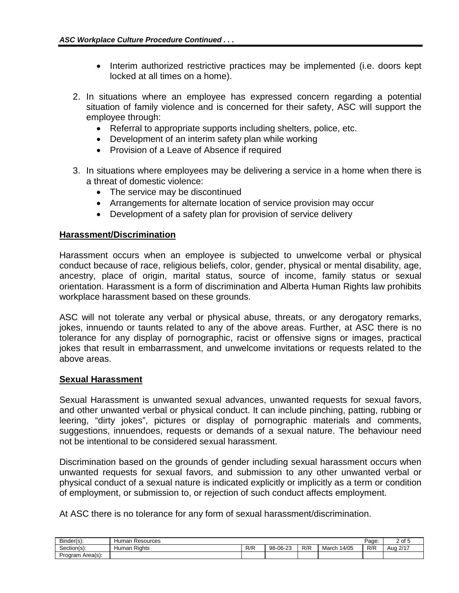- Interim authorized restrictive practices may be implemented (i.e. doors kept locked at all times on a home).
- 2. In situations where an employee has expressed concern regarding a potential situation of family violence and is concerned for their safety, ASC will support the employee through:
	- Referral to appropriate supports including shelters, police, etc.
	- Development of an interim safety plan while working
	- Provision of a Leave of Absence if required
- 3. In situations where employees may be delivering a service in a home when there is a threat of domestic violence:
	- The service may be discontinued
	- Arrangements for alternate location of service provision may occur
	- Development of a safety plan for provision of service delivery

## **Harassment/Discrimination**

Harassment occurs when an employee is subjected to unwelcome verbal or physical conduct because of race, religious beliefs, color, gender, physical or mental disability, age, ancestry, place of origin, marital status, source of income, family status or sexual orientation. Harassment is a form of discrimination and Alberta Human Rights law prohibits workplace harassment based on these grounds.

ASC will not tolerate any verbal or physical abuse, threats, or any derogatory remarks, jokes, innuendo or taunts related to any of the above areas. Further, at ASC there is no tolerance for any display of pornographic, racist or offensive signs or images, practical jokes that result in embarrassment, and unwelcome invitations or requests related to the above areas.

#### **Sexual Harassment**

Sexual Harassment is unwanted sexual advances, unwanted requests for sexual favors, and other unwanted verbal or physical conduct. It can include pinching, patting, rubbing or leering, "dirty jokes", pictures or display of pornographic materials and comments, suggestions, innuendoes, requests or demands of a sexual nature. The behaviour need not be intentional to be considered sexual harassment.

Discrimination based on the grounds of gender including sexual harassment occurs when unwanted requests for sexual favors, and submission to any other unwanted verbal or physical conduct of a sexual nature is indicated explicitly or implicitly as a term or condition of employment, or submission to, or rejection of such conduct affects employment.

At ASC there is no tolerance for any form of sexual harassment/discrimination.

| $\sim$<br>Binder(s): | Resources<br>Human        |            |          |        |                | Page: | $\sim$<br>ັບເ<br>- |
|----------------------|---------------------------|------------|----------|--------|----------------|-------|--------------------|
| Section(s):          | $- \cdot$<br>Human Rights | ם/ם<br>ND. | 98-06-23 | $R$ /F | 14/05<br>March | R/R   | 2147<br>Aua<br>∠   |
| Program Area(s):     |                           |            |          |        |                |       |                    |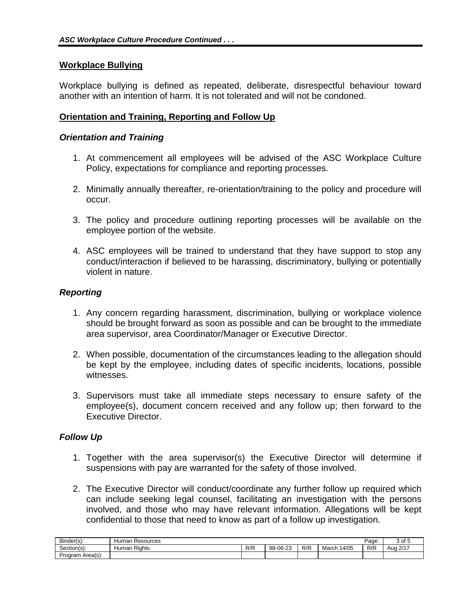## **Workplace Bullying**

Workplace bullying is defined as repeated, deliberate, disrespectful behaviour toward another with an intention of harm. It is not tolerated and will not be condoned.

# **Orientation and Training, Reporting and Follow Up**

#### *Orientation and Training*

- 1. At commencement all employees will be advised of the ASC Workplace Culture Policy, expectations for compliance and reporting processes.
- 2. Minimally annually thereafter, re-orientation/training to the policy and procedure will occur.
- 3. The policy and procedure outlining reporting processes will be available on the employee portion of the website.
- 4. ASC employees will be trained to understand that they have support to stop any conduct/interaction if believed to be harassing, discriminatory, bullying or potentially violent in nature.

# *Reporting*

- 1. Any concern regarding harassment, discrimination, bullying or workplace violence should be brought forward as soon as possible and can be brought to the immediate area supervisor, area Coordinator/Manager or Executive Director.
- 2. When possible, documentation of the circumstances leading to the allegation should be kept by the employee, including dates of specific incidents, locations, possible witnesses.
- 3. Supervisors must take all immediate steps necessary to ensure safety of the employee(s), document concern received and any follow up; then forward to the Executive Director.

## *Follow Up*

- 1. Together with the area supervisor(s) the Executive Director will determine if suspensions with pay are warranted for the safety of those involved.
- 2. The Executive Director will conduct/coordinate any further follow up required which can include seeking legal counsel, facilitating an investigation with the persons involved, and those who may have relevant information. Allegations will be kept confidential to those that need to know as part of a follow up investigation.

| Binder(s):       | Resources<br>umar<br>пuı.    |                   |          |     |                | Page: | 3 of 5                      |
|------------------|------------------------------|-------------------|----------|-----|----------------|-------|-----------------------------|
| Section(s):      | $- \cdot$<br>Rights<br>Human | D/D<br><b>N/N</b> | 98-06-23 | R/R | 14/05<br>March | R/R   | -12/1 <sup>-</sup> ل<br>Aug |
| Program Area(s): |                              |                   |          |     |                |       |                             |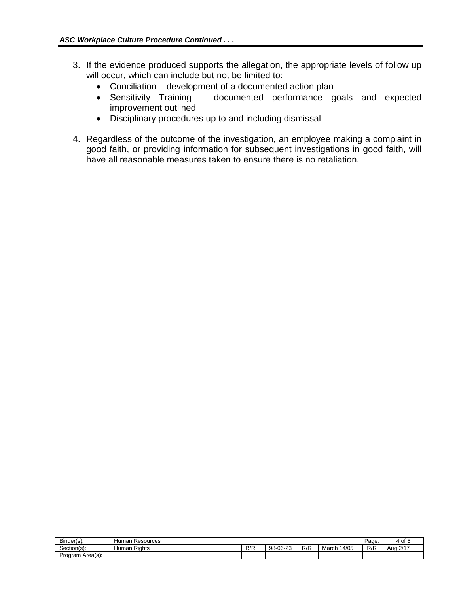- 3. If the evidence produced supports the allegation, the appropriate levels of follow up will occur, which can include but not be limited to:
	- Conciliation development of a documented action plan
	- Sensitivity Training documented performance goals and expected improvement outlined
	- Disciplinary procedures up to and including dismissal
- 4. Regardless of the outcome of the investigation, an employee making a complaint in good faith, or providing information for subsequent investigations in good faith, will have all reasonable measures taken to ensure there is no retaliation.

| Binder(s):           | Resources<br>Humar                |     |                          |     |                | Page: | 4 of               |
|----------------------|-----------------------------------|-----|--------------------------|-----|----------------|-------|--------------------|
| Section(s):          | $\sim$ .<br>Rights<br>umar<br>ישר | R/R | 0000<br>$98 -$<br>∙∪b-∠3 | R/R | 14/05<br>March | R/R   | 2/17<br>Auo 1<br>. |
| ⊦Area(s):<br>Program |                                   |     |                          |     |                |       |                    |